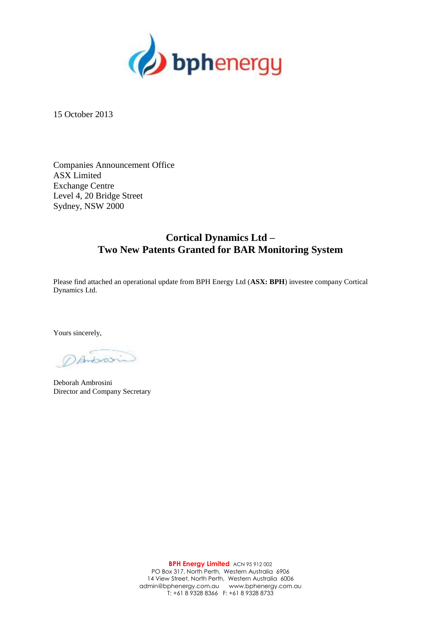

15 October 2013

Companies Announcement Office ASX Limited Exchange Centre Level 4, 20 Bridge Street Sydney, NSW 2000

## **Cortical Dynamics Ltd – Two New Patents Granted for BAR Monitoring System**

Please find attached an operational update from BPH Energy Ltd (**ASX: BPH**) investee company Cortical Dynamics Ltd.

Yours sincerely,

DAntonosin

Deborah Ambrosini Director and Company Secretary

**BPH Energy Limited** ACN 95 912 002 PO Box 317, North Perth, Western Australia 6906 14 View Street, North Perth, Western Australia 6006 admin@bphenergy.com.au www.bphenergy.com.au T: +61 8 9328 8366 F: +61 8 9328 8733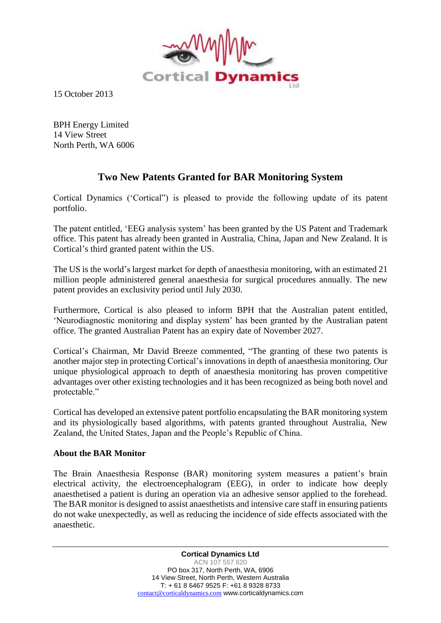

15 October 2013

BPH Energy Limited 14 View Street North Perth, WA 6006

## **Two New Patents Granted for BAR Monitoring System**

Cortical Dynamics ('Cortical") is pleased to provide the following update of its patent portfolio.

The patent entitled, 'EEG analysis system' has been granted by the US Patent and Trademark office. This patent has already been granted in Australia, China, Japan and New Zealand. It is Cortical's third granted patent within the US.

The US is the world's largest market for depth of anaesthesia monitoring, with an estimated 21 million people administered general anaesthesia for surgical procedures annually. The new patent provides an exclusivity period until July 2030.

Furthermore, Cortical is also pleased to inform BPH that the Australian patent entitled, 'Neurodiagnostic monitoring and display system' has been granted by the Australian patent office. The granted Australian Patent has an expiry date of November 2027.

Cortical's Chairman, Mr David Breeze commented, "The granting of these two patents is another major step in protecting Cortical's innovations in depth of anaesthesia monitoring. Our unique physiological approach to depth of anaesthesia monitoring has proven competitive advantages over other existing technologies and it has been recognized as being both novel and protectable."

Cortical has developed an extensive patent portfolio encapsulating the BAR monitoring system and its physiologically based algorithms, with patents granted throughout Australia, New Zealand, the United States, Japan and the People's Republic of China.

## **About the BAR Monitor**

The Brain Anaesthesia Response (BAR) monitoring system measures a patient's brain electrical activity, the electroencephalogram (EEG), in order to indicate how deeply anaesthetised a patient is during an operation via an adhesive sensor applied to the forehead. The BAR monitor is designed to assist anaesthetists and intensive care staff in ensuring patients do not wake unexpectedly, as well as reducing the incidence of side effects associated with the anaesthetic.